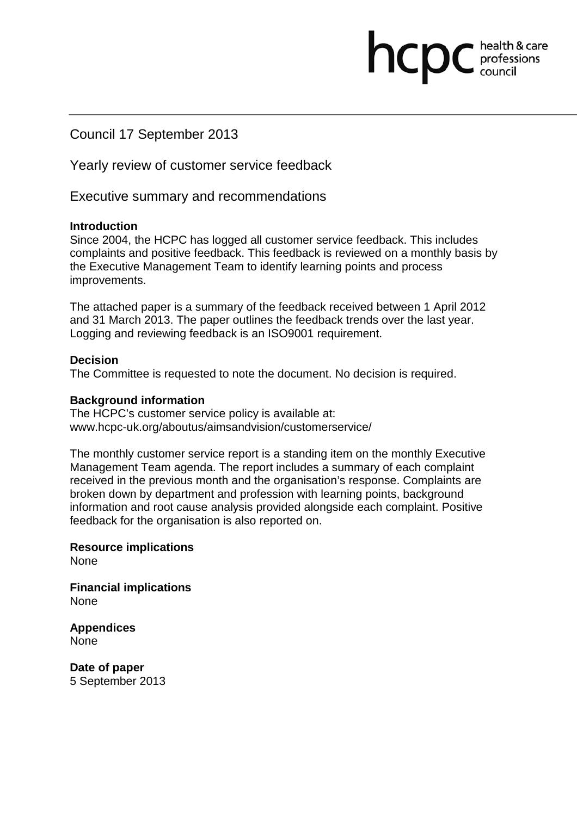# Council 17 September 2013

Yearly review of customer service feedback

Executive summary and recommendations

#### **Introduction**

Since 2004, the HCPC has logged all customer service feedback. This includes complaints and positive feedback. This feedback is reviewed on a monthly basis by the Executive Management Team to identify learning points and process improvements.

hcpc

health & care professions<br>council

The attached paper is a summary of the feedback received between 1 April 2012 and 31 March 2013. The paper outlines the feedback trends over the last year. Logging and reviewing feedback is an ISO9001 requirement.

### **Decision**

The Committee is requested to note the document. No decision is required.

### **Background information**

The HCPC's customer service policy is available at: www.hcpc-uk.org/aboutus/aimsandvision/customerservice/

The monthly customer service report is a standing item on the monthly Executive Management Team agenda. The report includes a summary of each complaint received in the previous month and the organisation's response. Complaints are broken down by department and profession with learning points, background information and root cause analysis provided alongside each complaint. Positive feedback for the organisation is also reported on.

**Resource implications None** 

**Financial implications** None

**Appendices**  None

**Date of paper**  5 September 2013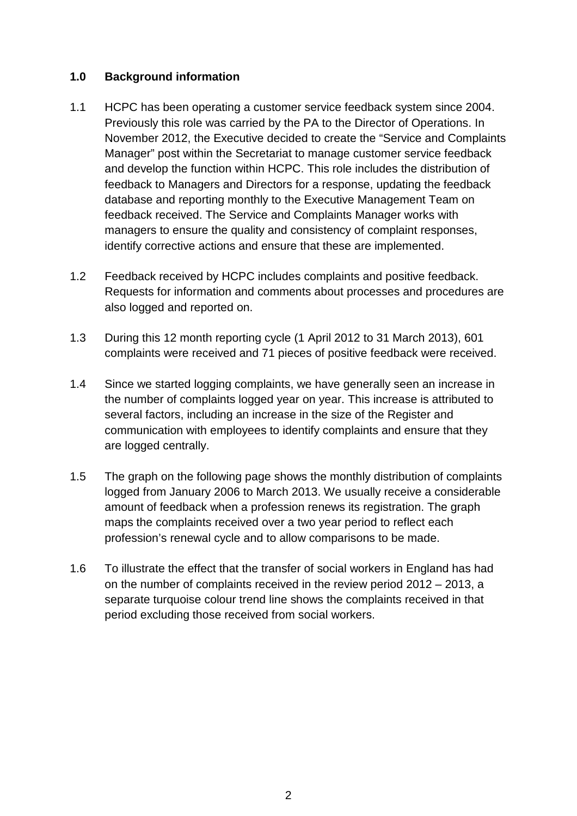## **1.0 Background information**

- 1.1 HCPC has been operating a customer service feedback system since 2004. Previously this role was carried by the PA to the Director of Operations. In November 2012, the Executive decided to create the "Service and Complaints Manager" post within the Secretariat to manage customer service feedback and develop the function within HCPC. This role includes the distribution of feedback to Managers and Directors for a response, updating the feedback database and reporting monthly to the Executive Management Team on feedback received. The Service and Complaints Manager works with managers to ensure the quality and consistency of complaint responses, identify corrective actions and ensure that these are implemented.
- 1.2 Feedback received by HCPC includes complaints and positive feedback. Requests for information and comments about processes and procedures are also logged and reported on.
- 1.3 During this 12 month reporting cycle (1 April 2012 to 31 March 2013), 601 complaints were received and 71 pieces of positive feedback were received.
- 1.4 Since we started logging complaints, we have generally seen an increase in the number of complaints logged year on year. This increase is attributed to several factors, including an increase in the size of the Register and communication with employees to identify complaints and ensure that they are logged centrally.
- 1.5 The graph on the following page shows the monthly distribution of complaints logged from January 2006 to March 2013. We usually receive a considerable amount of feedback when a profession renews its registration. The graph maps the complaints received over a two year period to reflect each profession's renewal cycle and to allow comparisons to be made.
- 1.6 To illustrate the effect that the transfer of social workers in England has had on the number of complaints received in the review period 2012 – 2013, a separate turquoise colour trend line shows the complaints received in that period excluding those received from social workers.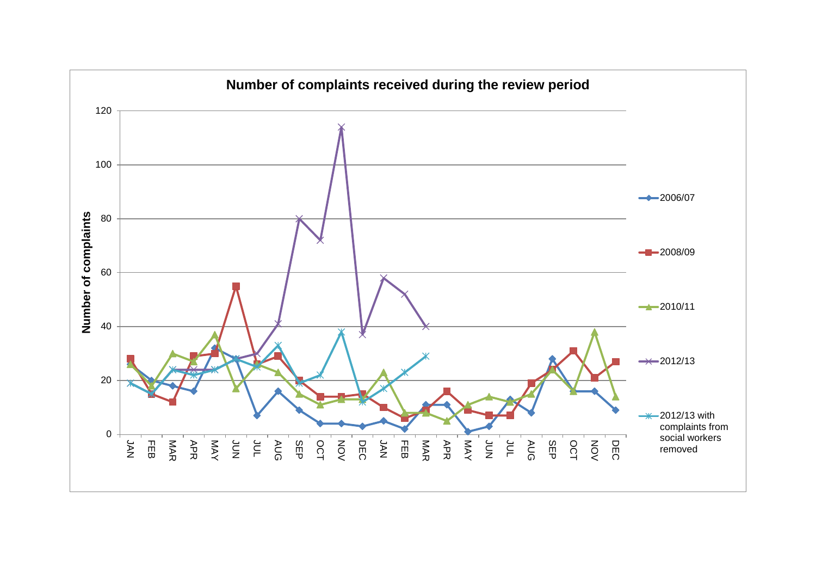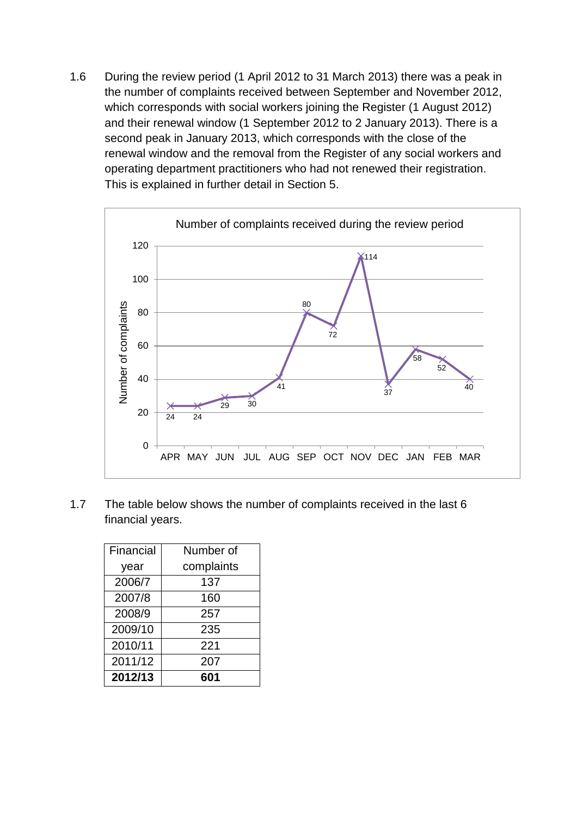1.6 During the review period (1 April 2012 to 31 March 2013) there was a peak in the number of complaints received between September and November 2012, which corresponds with social workers joining the Register (1 August 2012) and their renewal window (1 September 2012 to 2 January 2013). There is a second peak in January 2013, which corresponds with the close of the renewal window and the removal from the Register of any social workers and operating department practitioners who had not renewed their registration. This is explained in further detail in Section 5.



1.7 The table below shows the number of complaints received in the last 6 financial years.

| Financial | Number of  |
|-----------|------------|
| year      | complaints |
| 2006/7    | 137        |
| 2007/8    | 160        |
| 2008/9    | 257        |
| 2009/10   | 235        |
| 2010/11   | 221        |
| 2011/12   | 207        |
| 2012/13   | 601        |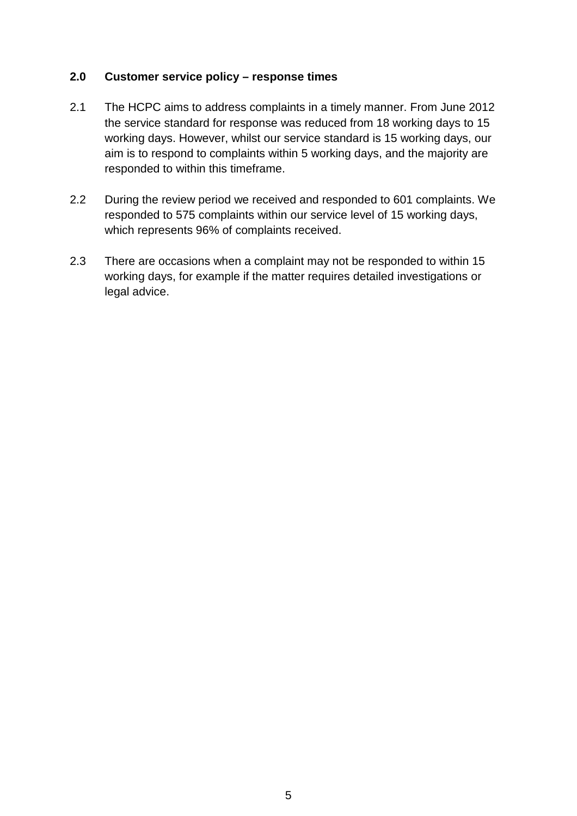## **2.0 Customer service policy – response times**

- 2.1 The HCPC aims to address complaints in a timely manner. From June 2012 the service standard for response was reduced from 18 working days to 15 working days. However, whilst our service standard is 15 working days, our aim is to respond to complaints within 5 working days, and the majority are responded to within this timeframe.
- 2.2 During the review period we received and responded to 601 complaints. We responded to 575 complaints within our service level of 15 working days, which represents 96% of complaints received.
- 2.3 There are occasions when a complaint may not be responded to within 15 working days, for example if the matter requires detailed investigations or legal advice.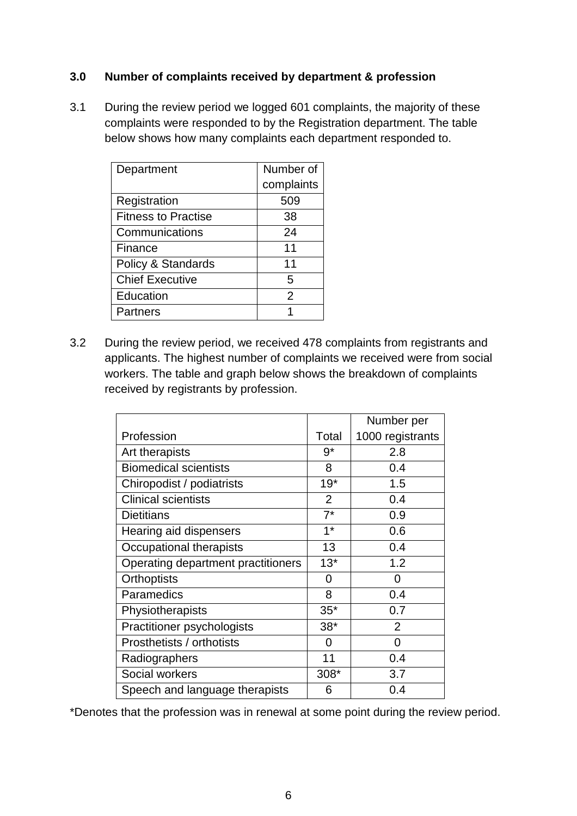## **3.0 Number of complaints received by department & profession**

3.1 During the review period we logged 601 complaints, the majority of these complaints were responded to by the Registration department. The table below shows how many complaints each department responded to.

| Department                 | Number of     |
|----------------------------|---------------|
|                            | complaints    |
| Registration               | 509           |
| <b>Fitness to Practise</b> | 38            |
| Communications             | 24            |
| Finance                    | 11            |
| Policy & Standards         | 11            |
| <b>Chief Executive</b>     | 5             |
| Education                  | $\mathcal{P}$ |
| Partners                   |               |

3.2 During the review period, we received 478 complaints from registrants and applicants. The highest number of complaints we received were from social workers. The table and graph below shows the breakdown of complaints received by registrants by profession.

|                                    |                | Number per       |
|------------------------------------|----------------|------------------|
| Profession                         | Total          | 1000 registrants |
| Art therapists                     | $9*$           | 2.8              |
| <b>Biomedical scientists</b>       | 8              | 0.4              |
| Chiropodist / podiatrists          | $19*$          | 1.5              |
| <b>Clinical scientists</b>         | $\overline{2}$ | 0.4              |
| <b>Dietitians</b>                  | $7^*$          | 0.9              |
| Hearing aid dispensers             | $1^*$          | 0.6              |
| Occupational therapists            | 13             | 0.4              |
| Operating department practitioners | $13*$          | 1.2              |
| <b>Orthoptists</b>                 | 0              | 0                |
| Paramedics                         | 8              | 0.4              |
| Physiotherapists                   | $35*$          | 0.7              |
| Practitioner psychologists         | $38*$          | $\overline{2}$   |
| Prosthetists / orthotists          | 0              | $\overline{0}$   |
| Radiographers                      | 11             | 0.4              |
| Social workers                     | 308*           | 3.7              |
| Speech and language therapists     | 6              | 0.4              |

\*Denotes that the profession was in renewal at some point during the review period.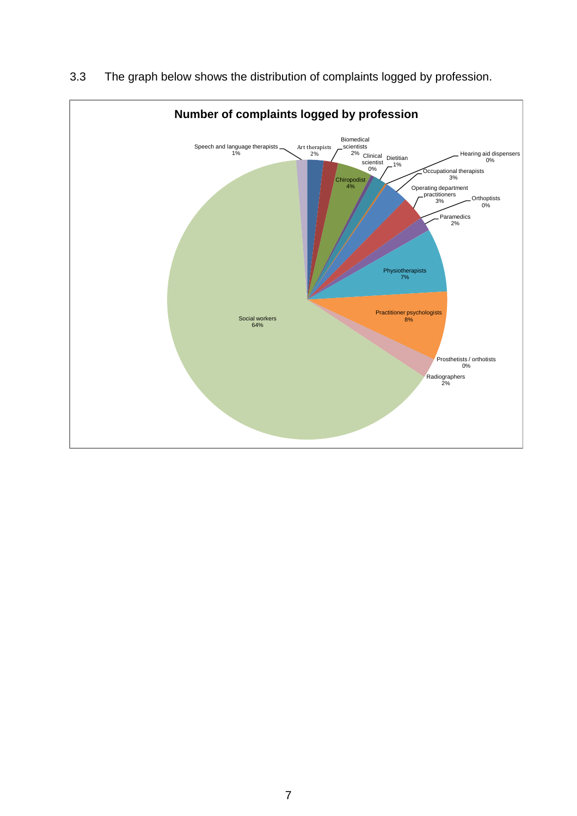

3.3 The graph below shows the distribution of complaints logged by profession.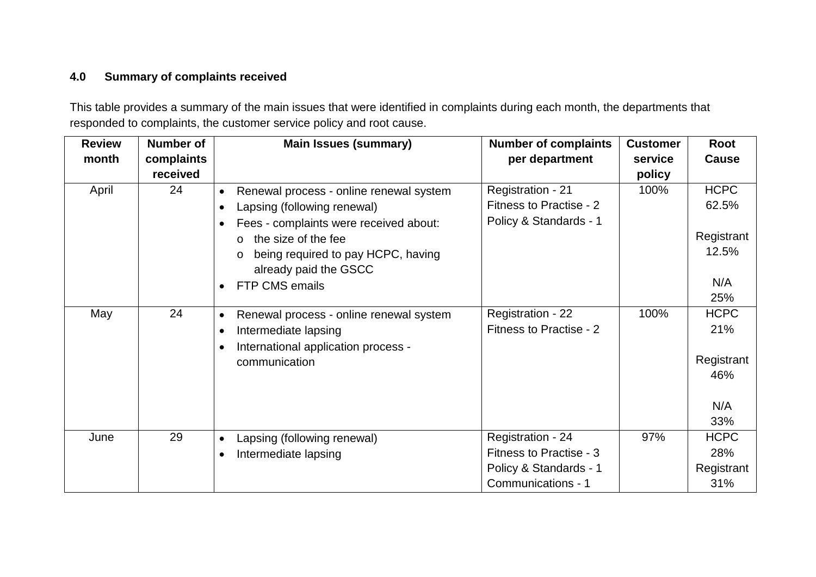# **4.0 Summary of complaints received**

This table provides a summary of the main issues that were identified in complaints during each month, the departments that responded to complaints, the customer service policy and root cause.

| <b>Review</b> | <b>Number of</b> | <b>Main Issues (summary)</b>                                                                                                                                                                                                                   | <b>Number of complaints</b>                                                                  | <b>Customer</b> | Root                                                  |
|---------------|------------------|------------------------------------------------------------------------------------------------------------------------------------------------------------------------------------------------------------------------------------------------|----------------------------------------------------------------------------------------------|-----------------|-------------------------------------------------------|
| month         | complaints       |                                                                                                                                                                                                                                                | per department                                                                               | service         | <b>Cause</b>                                          |
|               | received         |                                                                                                                                                                                                                                                |                                                                                              | policy          |                                                       |
| April         | 24               | Renewal process - online renewal system<br>Lapsing (following renewal)<br>Fees - complaints were received about:<br>the size of the fee<br>$\circ$<br>being required to pay HCPC, having<br>$\circ$<br>already paid the GSCC<br>FTP CMS emails | Registration - 21<br>Fitness to Practise - 2<br>Policy & Standards - 1                       | 100%            | <b>HCPC</b><br>62.5%<br>Registrant<br>12.5%<br>N/A    |
|               |                  |                                                                                                                                                                                                                                                |                                                                                              |                 | 25%                                                   |
| May           | 24               | Renewal process - online renewal system<br>$\bullet$<br>Intermediate lapsing<br>International application process -<br>communication                                                                                                           | Registration - 22<br>Fitness to Practise - 2                                                 | 100%            | <b>HCPC</b><br>21%<br>Registrant<br>46%<br>N/A<br>33% |
| June          | 29               | Lapsing (following renewal)<br>$\bullet$<br>Intermediate lapsing                                                                                                                                                                               | Registration - 24<br>Fitness to Practise - 3<br>Policy & Standards - 1<br>Communications - 1 | 97%             | <b>HCPC</b><br>28%<br>Registrant<br>31%               |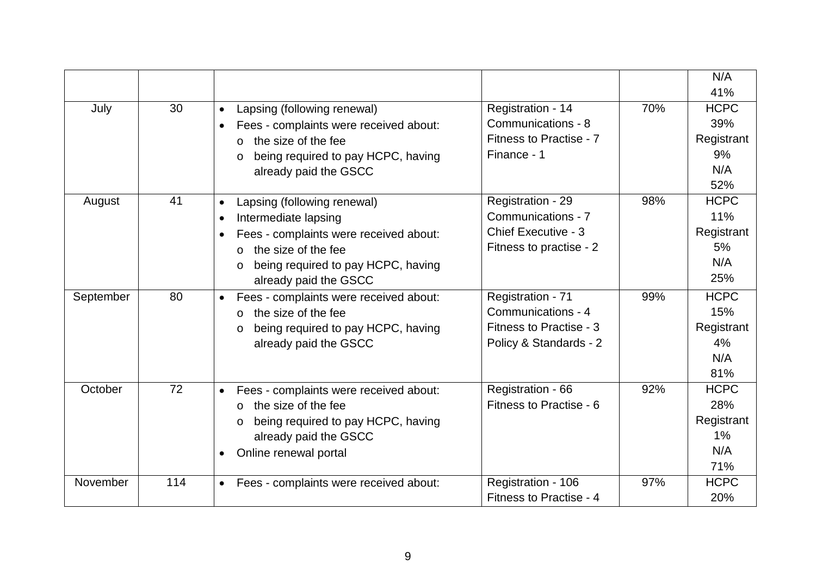|           |     |                                                     |                            |     | N/A         |
|-----------|-----|-----------------------------------------------------|----------------------------|-----|-------------|
|           |     |                                                     |                            |     | 41%         |
| July      | 30  | Lapsing (following renewal)<br>$\bullet$            | Registration - 14          | 70% | <b>HCPC</b> |
|           |     | Fees - complaints were received about:              | Communications - 8         |     | 39%         |
|           |     | the size of the fee<br>$\Omega$                     | Fitness to Practise - 7    |     | Registrant  |
|           |     | being required to pay HCPC, having                  | Finance - 1                |     | 9%          |
|           |     | already paid the GSCC                               |                            |     | N/A         |
|           |     |                                                     |                            |     | 52%         |
| August    | 41  | Lapsing (following renewal)                         | Registration - 29          | 98% | <b>HCPC</b> |
|           |     | Intermediate lapsing                                | Communications - 7         |     | 11%         |
|           |     | Fees - complaints were received about:              | <b>Chief Executive - 3</b> |     | Registrant  |
|           |     | the size of the fee<br>$\Omega$                     | Fitness to practise - 2    |     | 5%          |
|           |     | being required to pay HCPC, having<br>$\circ$       |                            |     | N/A         |
|           |     | already paid the GSCC                               |                            |     | 25%         |
| September | 80  | Fees - complaints were received about:<br>$\bullet$ | Registration - 71          | 99% | <b>HCPC</b> |
|           |     | the size of the fee<br>$\Omega$                     | Communications - 4         |     | 15%         |
|           |     | being required to pay HCPC, having<br>$\circ$       | Fitness to Practise - 3    |     | Registrant  |
|           |     | already paid the GSCC                               | Policy & Standards - 2     |     | 4%          |
|           |     |                                                     |                            |     | N/A         |
|           |     |                                                     |                            |     | 81%         |
| October   | 72  | Fees - complaints were received about:<br>$\bullet$ | Registration - 66          | 92% | <b>HCPC</b> |
|           |     | the size of the fee<br>$\Omega$                     | Fitness to Practise - 6    |     | 28%         |
|           |     | being required to pay HCPC, having                  |                            |     | Registrant  |
|           |     | already paid the GSCC                               |                            |     | $1\%$       |
|           |     | Online renewal portal                               |                            |     | N/A         |
|           |     |                                                     |                            |     | 71%         |
| November  | 114 | Fees - complaints were received about:<br>$\bullet$ | Registration - 106         | 97% | <b>HCPC</b> |
|           |     |                                                     | Fitness to Practise - 4    |     | 20%         |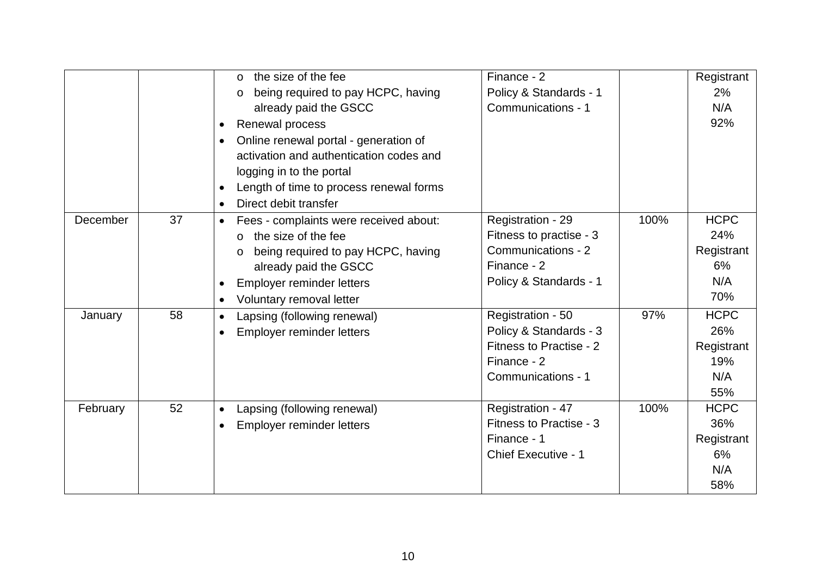|          |    | the size of the fee<br>$\circ$<br>being required to pay HCPC, having<br>$\circ$<br>already paid the GSCC<br>Renewal process<br>Online renewal portal - generation of<br>activation and authentication codes and           | Finance - 2<br>Policy & Standards - 1<br>Communications - 1                                                 |      | Registrant<br>2%<br>N/A<br>92%                        |
|----------|----|---------------------------------------------------------------------------------------------------------------------------------------------------------------------------------------------------------------------------|-------------------------------------------------------------------------------------------------------------|------|-------------------------------------------------------|
|          |    | logging in to the portal<br>Length of time to process renewal forms<br>Direct debit transfer                                                                                                                              |                                                                                                             |      |                                                       |
| December | 37 | Fees - complaints were received about:<br>$\bullet$<br>the size of the fee<br>$\Omega$<br>being required to pay HCPC, having<br>$\circ$<br>already paid the GSCC<br>Employer reminder letters<br>Voluntary removal letter | Registration - 29<br>Fitness to practise - 3<br>Communications - 2<br>Finance - 2<br>Policy & Standards - 1 | 100% | <b>HCPC</b><br>24%<br>Registrant<br>6%<br>N/A<br>70%  |
| January  | 58 | Lapsing (following renewal)<br>Employer reminder letters                                                                                                                                                                  | Registration - 50<br>Policy & Standards - 3<br>Fitness to Practise - 2<br>Finance - 2<br>Communications - 1 | 97%  | <b>HCPC</b><br>26%<br>Registrant<br>19%<br>N/A<br>55% |
| February | 52 | Lapsing (following renewal)<br>$\bullet$<br>Employer reminder letters                                                                                                                                                     | Registration - 47<br>Fitness to Practise - 3<br>Finance - 1<br>Chief Executive - 1                          | 100% | <b>HCPC</b><br>36%<br>Registrant<br>6%<br>N/A<br>58%  |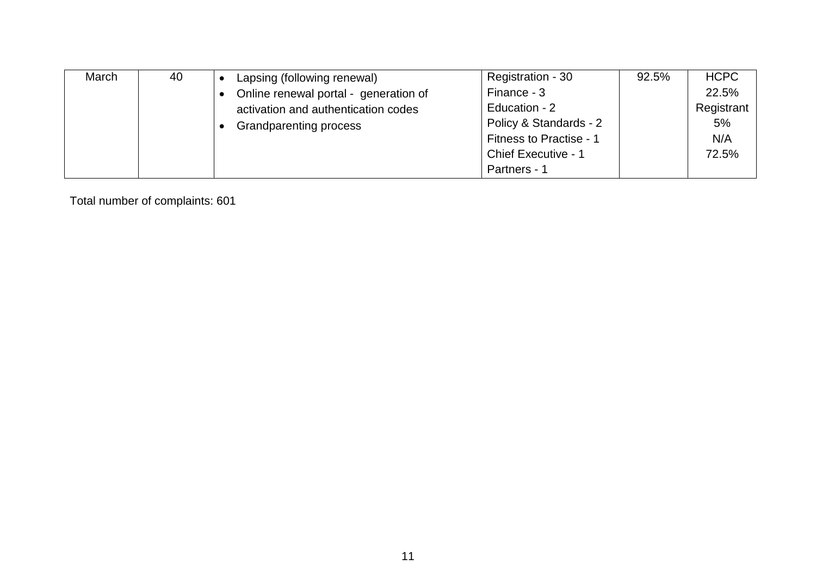| March | 40 | Lapsing (following renewal)           | Registration - 30          | 92.5% | <b>HCPC</b> |
|-------|----|---------------------------------------|----------------------------|-------|-------------|
|       |    | Online renewal portal - generation of | Finance - 3                |       | 22.5%       |
|       |    | activation and authentication codes   | Education - 2              |       | Registrant  |
|       |    | <b>Grandparenting process</b>         | Policy & Standards - 2     |       | 5%          |
|       |    |                                       | Fitness to Practise - 1    |       | N/A         |
|       |    |                                       | <b>Chief Executive - 1</b> |       | 72.5%       |
|       |    |                                       | Partners - 1               |       |             |

Total number of complaints: 601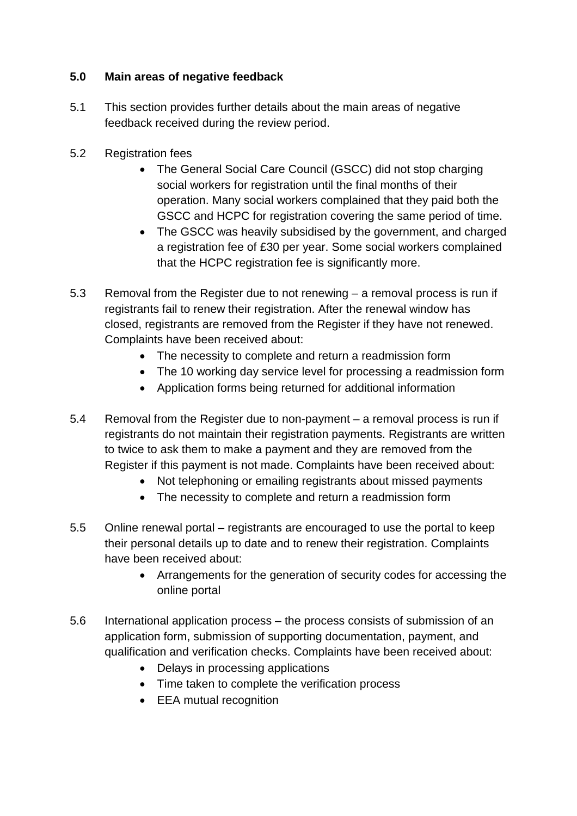# **5.0 Main areas of negative feedback**

- 5.1 This section provides further details about the main areas of negative feedback received during the review period.
- 5.2 Registration fees
	- The General Social Care Council (GSCC) did not stop charging social workers for registration until the final months of their operation. Many social workers complained that they paid both the GSCC and HCPC for registration covering the same period of time.
	- The GSCC was heavily subsidised by the government, and charged a registration fee of £30 per year. Some social workers complained that the HCPC registration fee is significantly more.
- 5.3 Removal from the Register due to not renewing a removal process is run if registrants fail to renew their registration. After the renewal window has closed, registrants are removed from the Register if they have not renewed. Complaints have been received about:
	- The necessity to complete and return a readmission form
	- The 10 working day service level for processing a readmission form
	- Application forms being returned for additional information
- 5.4 Removal from the Register due to non-payment a removal process is run if registrants do not maintain their registration payments. Registrants are written to twice to ask them to make a payment and they are removed from the Register if this payment is not made. Complaints have been received about:
	- Not telephoning or emailing registrants about missed payments
	- The necessity to complete and return a readmission form
- 5.5 Online renewal portal registrants are encouraged to use the portal to keep their personal details up to date and to renew their registration. Complaints have been received about:
	- Arrangements for the generation of security codes for accessing the online portal
- 5.6 International application process the process consists of submission of an application form, submission of supporting documentation, payment, and qualification and verification checks. Complaints have been received about:
	- Delays in processing applications
	- Time taken to complete the verification process
	- EEA mutual recognition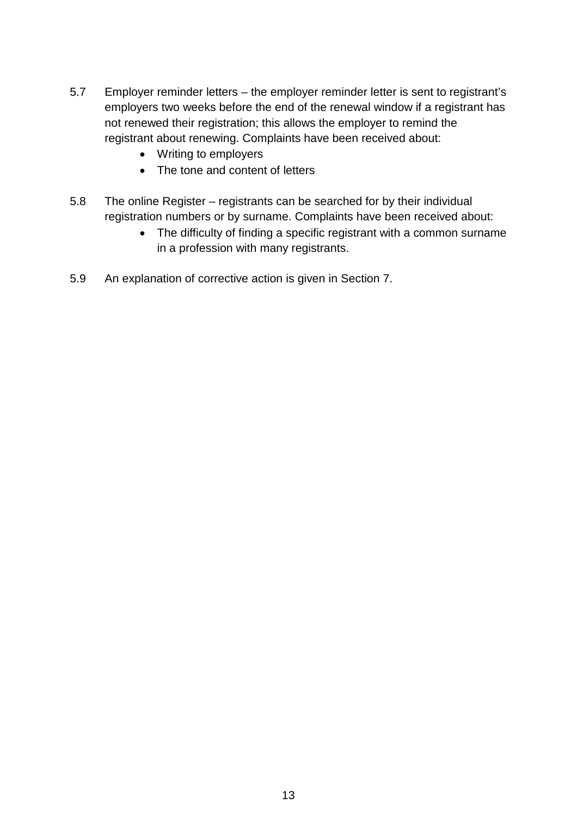- 5.7 Employer reminder letters the employer reminder letter is sent to registrant's employers two weeks before the end of the renewal window if a registrant has not renewed their registration; this allows the employer to remind the registrant about renewing. Complaints have been received about:
	- Writing to employers
	- The tone and content of letters
- 5.8 The online Register registrants can be searched for by their individual registration numbers or by surname. Complaints have been received about:
	- The difficulty of finding a specific registrant with a common surname in a profession with many registrants.
- 5.9 An explanation of corrective action is given in Section 7.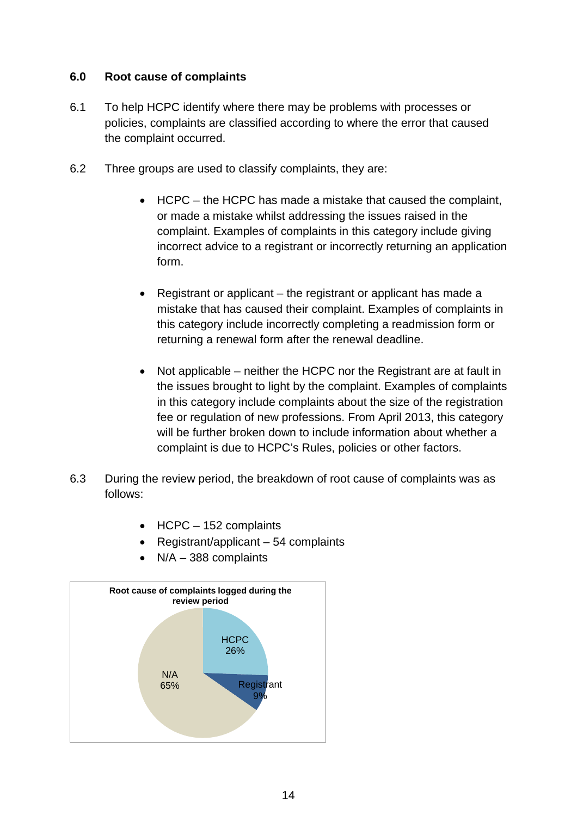## **6.0 Root cause of complaints**

- 6.1 To help HCPC identify where there may be problems with processes or policies, complaints are classified according to where the error that caused the complaint occurred.
- 6.2 Three groups are used to classify complaints, they are:
	- HCPC the HCPC has made a mistake that caused the complaint, or made a mistake whilst addressing the issues raised in the complaint. Examples of complaints in this category include giving incorrect advice to a registrant or incorrectly returning an application form.
	- Registrant or applicant the registrant or applicant has made a mistake that has caused their complaint. Examples of complaints in this category include incorrectly completing a readmission form or returning a renewal form after the renewal deadline.
	- Not applicable neither the HCPC nor the Registrant are at fault in the issues brought to light by the complaint. Examples of complaints in this category include complaints about the size of the registration fee or regulation of new professions. From April 2013, this category will be further broken down to include information about whether a complaint is due to HCPC's Rules, policies or other factors.
- 6.3 During the review period, the breakdown of root cause of complaints was as follows:
	- HCPC 152 complaints
	- Registrant/applicant 54 complaints
	- $\bullet$  N/A 388 complaints

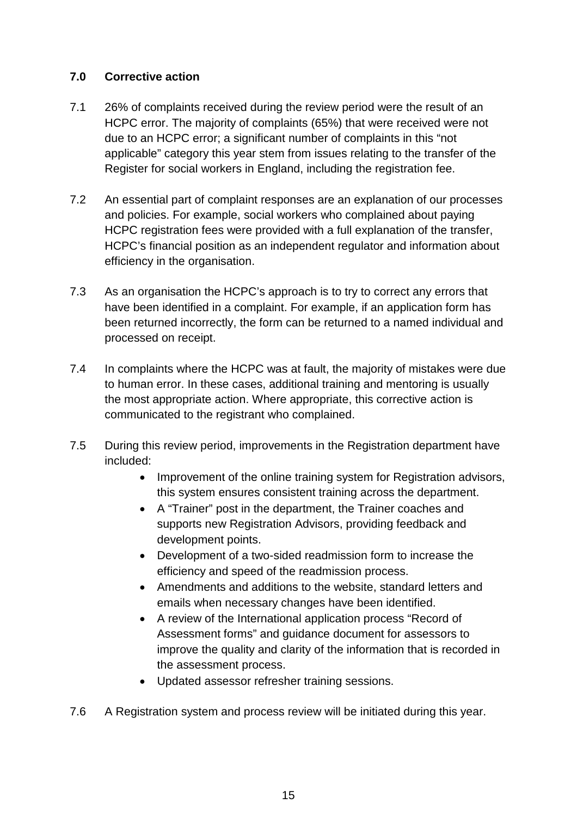## **7.0 Corrective action**

- 7.1 26% of complaints received during the review period were the result of an HCPC error. The majority of complaints (65%) that were received were not due to an HCPC error; a significant number of complaints in this "not applicable" category this year stem from issues relating to the transfer of the Register for social workers in England, including the registration fee.
- 7.2 An essential part of complaint responses are an explanation of our processes and policies. For example, social workers who complained about paying HCPC registration fees were provided with a full explanation of the transfer, HCPC's financial position as an independent regulator and information about efficiency in the organisation.
- 7.3 As an organisation the HCPC's approach is to try to correct any errors that have been identified in a complaint. For example, if an application form has been returned incorrectly, the form can be returned to a named individual and processed on receipt.
- 7.4 In complaints where the HCPC was at fault, the majority of mistakes were due to human error. In these cases, additional training and mentoring is usually the most appropriate action. Where appropriate, this corrective action is communicated to the registrant who complained.
- 7.5 During this review period, improvements in the Registration department have included:
	- Improvement of the online training system for Registration advisors, this system ensures consistent training across the department.
	- A "Trainer" post in the department, the Trainer coaches and supports new Registration Advisors, providing feedback and development points.
	- Development of a two-sided readmission form to increase the efficiency and speed of the readmission process.
	- Amendments and additions to the website, standard letters and emails when necessary changes have been identified.
	- A review of the International application process "Record of Assessment forms" and guidance document for assessors to improve the quality and clarity of the information that is recorded in the assessment process.
	- Updated assessor refresher training sessions.
- 7.6 A Registration system and process review will be initiated during this year.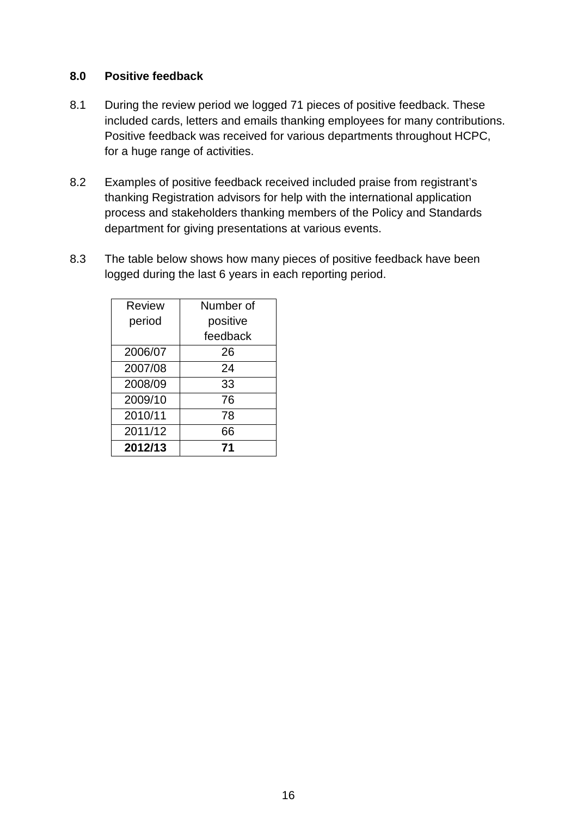## **8.0 Positive feedback**

- 8.1 During the review period we logged 71 pieces of positive feedback. These included cards, letters and emails thanking employees for many contributions. Positive feedback was received for various departments throughout HCPC, for a huge range of activities.
- 8.2 Examples of positive feedback received included praise from registrant's thanking Registration advisors for help with the international application process and stakeholders thanking members of the Policy and Standards department for giving presentations at various events.
- 8.3 The table below shows how many pieces of positive feedback have been logged during the last 6 years in each reporting period.

| <b>Review</b> | Number of |
|---------------|-----------|
| period        | positive  |
|               | feedback  |
| 2006/07       | 26        |
| 2007/08       | 24        |
| 2008/09       | 33        |
| 2009/10       | 76        |
| 2010/11       | 78        |
| 2011/12       | 66        |
| 2012/13       | 71        |